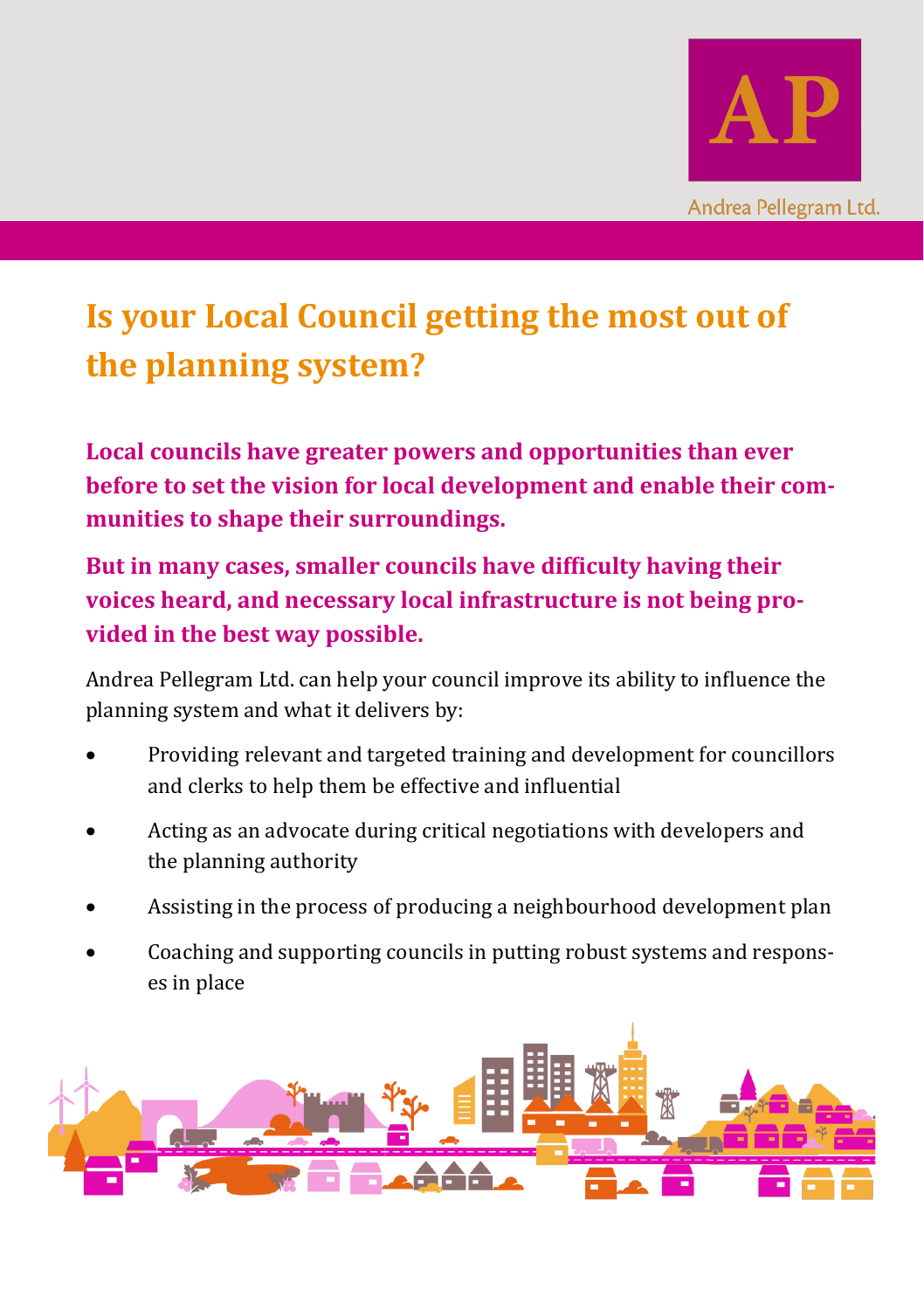

# **Is your Local Council getting the most out of the planning system?**

**Local councils have greater powers and opportunities than ever before to set the vision for local development and enable their communities to shape their surroundings.**

**But in many cases, smaller councils have difficulty having their voices heard, and necessary local infrastructure is not being provided in the best way possible.**

Andrea Pellegram Ltd. can help your council improve its ability to influence the planning system and what it delivers by:

- Providing relevant and targeted training and development for councillors and clerks to help them be effective and influential
- Acting as an advocate during critical negotiations with developers and the planning authority
- Assisting in the process of producing a neighbourhood development plan
- Coaching and supporting councils in putting robust systems and responses in place

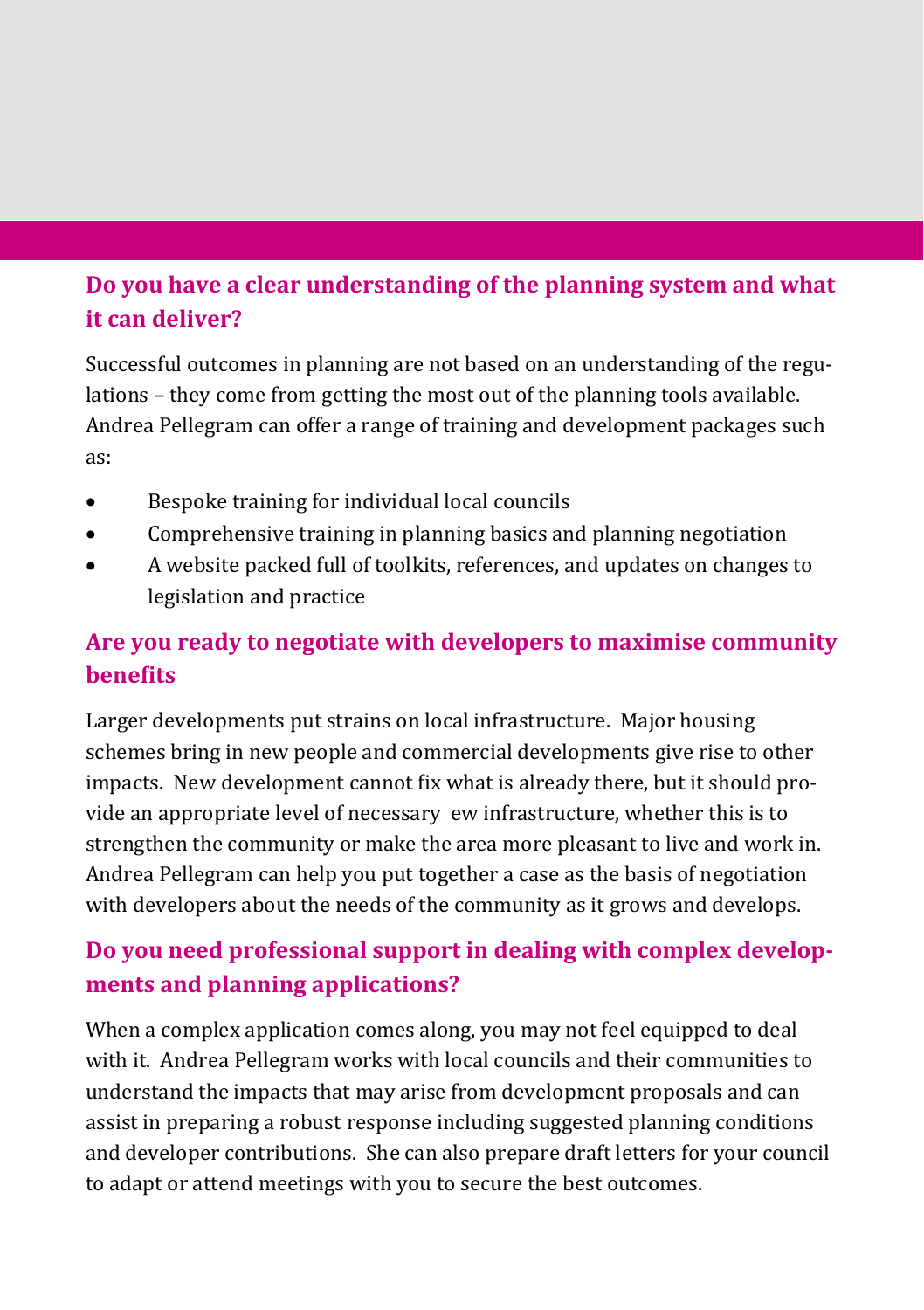## **Do you have a clear understanding of the planning system and what it can deliver?**

Successful outcomes in planning are not based on an understanding of the regulations – they come from getting the most out of the planning tools available. Andrea Pellegram can offer a range of training and development packages such as:

- Bespoke training for individual local councils
- Comprehensive training in planning basics and planning negotiation
- A website packed full of toolkits, references, and updates on changes to legislation and practice

## **Are you ready to negotiate with developers to maximise community benefits**

Larger developments put strains on local infrastructure. Major housing schemes bring in new people and commercial developments give rise to other impacts. New development cannot fix what is already there, but it should provide an appropriate level of necessary ew infrastructure, whether this is to strengthen the community or make the area more pleasant to live and work in. Andrea Pellegram can help you put together a case as the basis of negotiation with developers about the needs of the community as it grows and develops.

# **Do you need professional support in dealing with complex developments and planning applications?**

When a complex application comes along, you may not feel equipped to deal with it. Andrea Pellegram works with local councils and their communities to understand the impacts that may arise from development proposals and can assist in preparing a robust response including suggested planning conditions and developer contributions. She can also prepare draft letters for your council to adapt or attend meetings with you to secure the best outcomes.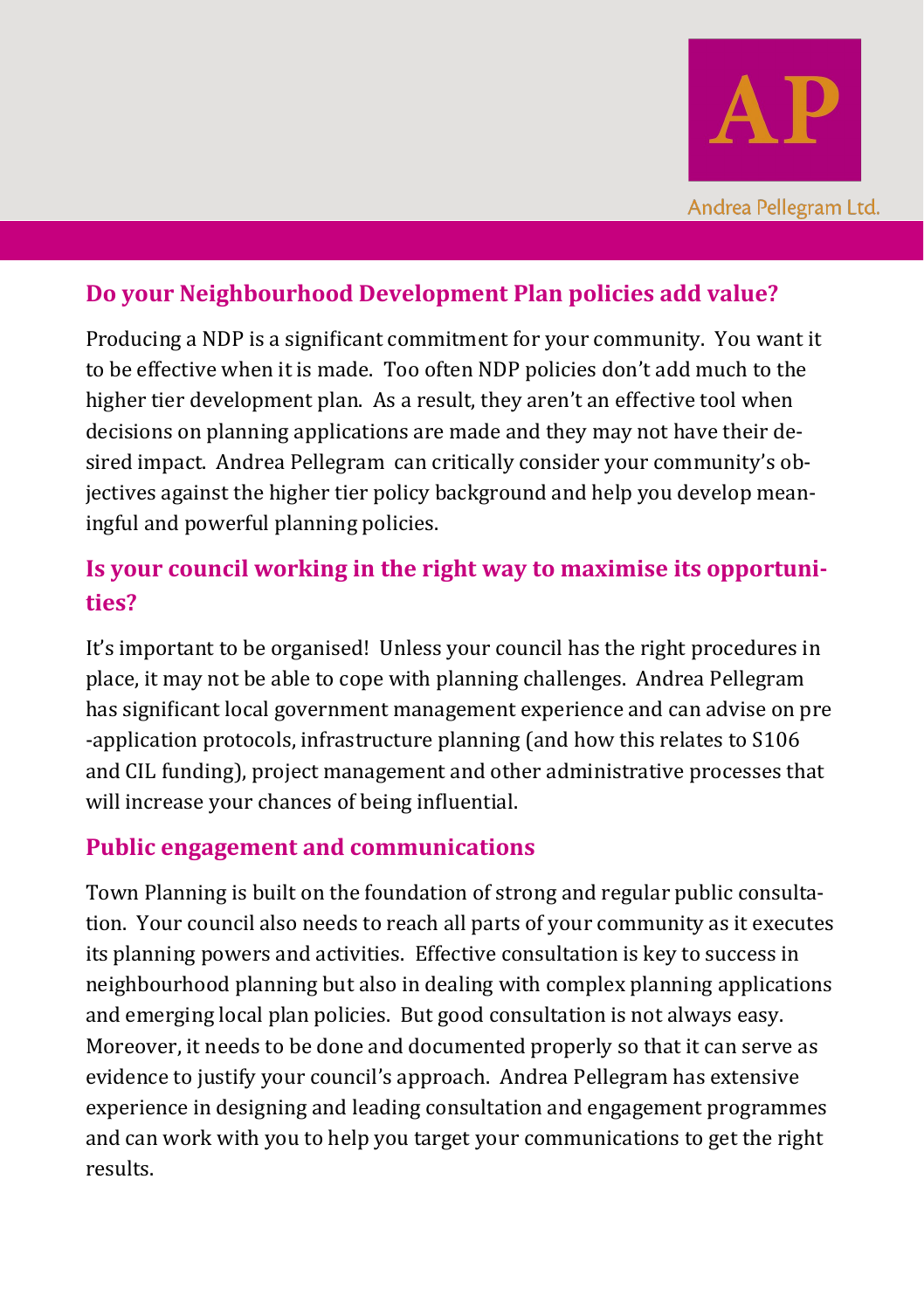

#### **Do your Neighbourhood Development Plan policies add value?**

Producing a NDP is a significant commitment for your community. You want it to be effective when it is made. Too often NDP policies don't add much to the higher tier development plan. As a result, they aren't an effective tool when decisions on planning applications are made and they may not have their desired impact. Andrea Pellegram can critically consider your community's objectives against the higher tier policy background and help you develop meaningful and powerful planning policies.

## **Is your council working in the right way to maximise its opportunities?**

It's important to be organised! Unless your council has the right procedures in place, it may not be able to cope with planning challenges. Andrea Pellegram has significant local government management experience and can advise on pre -application protocols, infrastructure planning (and how this relates to S106 and CIL funding), project management and other administrative processes that will increase your chances of being influential.

#### **Public engagement and communications**

Town Planning is built on the foundation of strong and regular public consultation. Your council also needs to reach all parts of your community as it executes its planning powers and activities. Effective consultation is key to success in neighbourhood planning but also in dealing with complex planning applications and emerging local plan policies. But good consultation is not always easy. Moreover, it needs to be done and documented properly so that it can serve as evidence to justify your council's approach. Andrea Pellegram has extensive experience in designing and leading consultation and engagement programmes and can work with you to help you target your communications to get the right results.